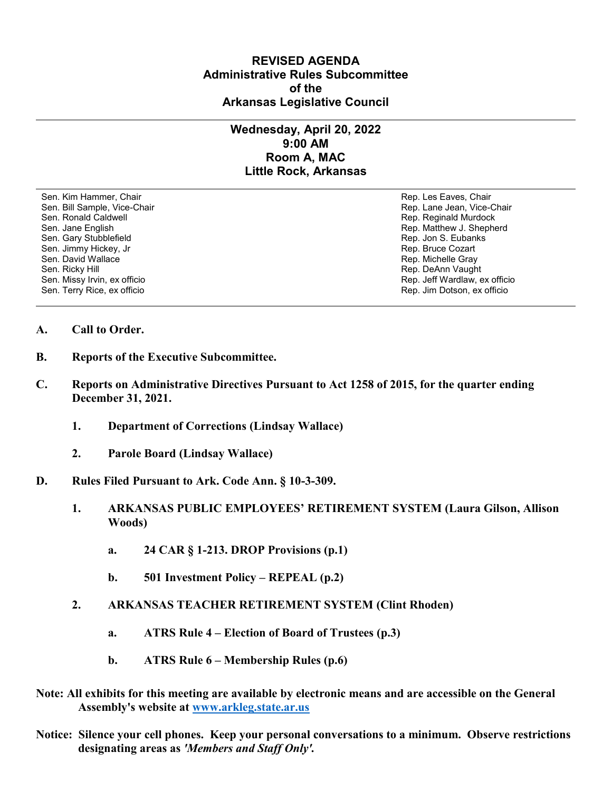# **REVISED AGENDA Administrative Rules Subcommittee of the Arkansas Legislative Council**

# **Wednesday, April 20, 2022 9:00 AM Room A, MAC Little Rock, Arkansas**

Sen. Kim Hammer, Chair Rep. Les Eaves, Chair Rep. Les Eaves, Chair Rep. Les Eaves, Chair Sen. Bill Sample, Vice-Chair November 1999, New York 1999, New York 1999, New York 1999, New York 1999, New York 1999 Sen. Ronald Caldwell **Rep. Reginald Murdock** Rep. Reginald Murdock Sen. Jane English Rep. Matthew J. Shepherd Sen. Gary Stubblefield **Rep. 3. Eubanks** Rep. Jon S. Eubanks Sen. Jimmy Hickey, Jr (1999) (1999) (1999) (1999) (1999) (1999) (1999) (1999) (1999) (1999) (1999) (1999) (199<br>Sen. David Wallace (1999) (1999) (1999) (1999) (1999) (1999) (1999) (1999) (1999) (1999) (1999) (1999) (1999) Sen. David Wallace New York (1999) Sen. David Wallace New York (1999) Sen. David Wallace Rep. Michelle Gray (<br>Sen. Ricky Hill (1999) Sen. Ricky Hill (1999) Sen. Rep. DeAnn Vaugh Sen. Missy Irvin, ex officio Sen. Terry Rice, ex officio Rep. Jim Dotson, ex officio

Rep. DeAnn Vaught<br>Rep. Jeff Wardlaw, ex officio

#### **A. Call to Order.**

- **B. Reports of the Executive Subcommittee.**
- **C. Reports on Administrative Directives Pursuant to Act 1258 of 2015, for the quarter ending December 31, 2021.**
	- **1. Department of Corrections (Lindsay Wallace)**
	- **2. Parole Board (Lindsay Wallace)**
- **D. Rules Filed Pursuant to Ark. Code Ann. § 10-3-309.**
	- **1. ARKANSAS PUBLIC EMPLOYEES' RETIREMENT SYSTEM (Laura Gilson, Allison Woods)**
		- **a. 24 CAR § 1-213. DROP Provisions (p.1)**
		- **b. 501 Investment Policy REPEAL (p.2)**
	- **2. ARKANSAS TEACHER RETIREMENT SYSTEM (Clint Rhoden)**
		- **a. ATRS Rule 4 – Election of Board of Trustees (p.3)**
		- **b. ATRS Rule 6 – Membership Rules (p.6)**
- **Note: All exhibits for this meeting are available by electronic means and are accessible on the General Assembly's website at [www.arkleg.state.ar.us](http://www.arkleg.state.ar.us)**
- **Notice: Silence your cell phones. Keep your personal conversations to a minimum. Observe restrictions designating areas as** *'Members and Staff Only'.*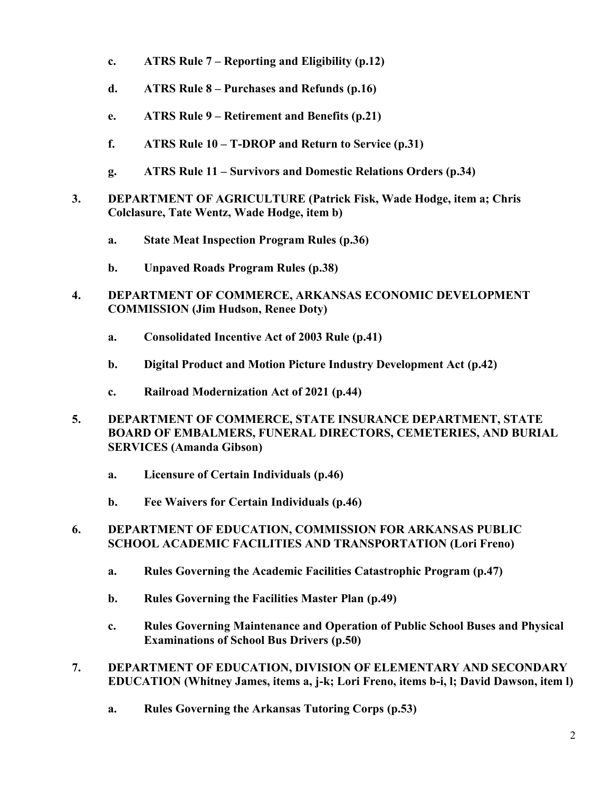- **c. ATRS Rule 7 – Reporting and Eligibility (p.12)**
- **d. ATRS Rule 8 – Purchases and Refunds (p.16)**
- **e. ATRS Rule 9 – Retirement and Benefits (p.21)**
- **f. ATRS Rule 10 – T-DROP and Return to Service (p.31)**
- **g. ATRS Rule 11 – Survivors and Domestic Relations Orders (p.34)**
- **3. DEPARTMENT OF AGRICULTURE (Patrick Fisk, Wade Hodge, item a; Chris Colclasure, Tate Wentz, Wade Hodge, item b)**
	- **a. State Meat Inspection Program Rules (p.36)**
	- **b. Unpaved Roads Program Rules (p.38)**
- **4. DEPARTMENT OF COMMERCE, ARKANSAS ECONOMIC DEVELOPMENT COMMISSION (Jim Hudson, Renee Doty)**
	- **a. Consolidated Incentive Act of 2003 Rule (p.41)**
	- **b. Digital Product and Motion Picture Industry Development Act (p.42)**
	- **c. Railroad Modernization Act of 2021 (p.44)**
- **5. DEPARTMENT OF COMMERCE, STATE INSURANCE DEPARTMENT, STATE BOARD OF EMBALMERS, FUNERAL DIRECTORS, CEMETERIES, AND BURIAL SERVICES (Amanda Gibson)**
	- **a. Licensure of Certain Individuals (p.46)**
	- **b. Fee Waivers for Certain Individuals (p.46)**
- **6. DEPARTMENT OF EDUCATION, COMMISSION FOR ARKANSAS PUBLIC SCHOOL ACADEMIC FACILITIES AND TRANSPORTATION (Lori Freno)**
	- **a. Rules Governing the Academic Facilities Catastrophic Program (p.47)**
	- **b. Rules Governing the Facilities Master Plan (p.49)**
	- **c. Rules Governing Maintenance and Operation of Public School Buses and Physical Examinations of School Bus Drivers (p.50)**
- **7. DEPARTMENT OF EDUCATION, DIVISION OF ELEMENTARY AND SECONDARY EDUCATION (Whitney James, items a, j-k; Lori Freno, items b-i, l; David Dawson, item l)**
	- **a. Rules Governing the Arkansas Tutoring Corps (p.53)**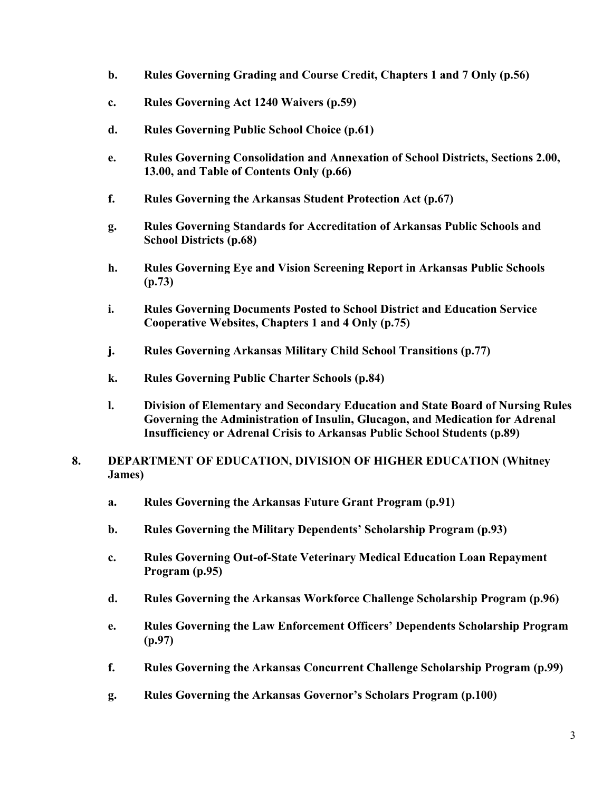- **b. Rules Governing Grading and Course Credit, Chapters 1 and 7 Only (p.56)**
- **c. Rules Governing Act 1240 Waivers (p.59)**
- **d. Rules Governing Public School Choice (p.61)**
- **e. Rules Governing Consolidation and Annexation of School Districts, Sections 2.00, 13.00, and Table of Contents Only (p.66)**
- **f. Rules Governing the Arkansas Student Protection Act (p.67)**
- **g. Rules Governing Standards for Accreditation of Arkansas Public Schools and School Districts (p.68)**
- **h. Rules Governing Eye and Vision Screening Report in Arkansas Public Schools (p.73)**
- **i. Rules Governing Documents Posted to School District and Education Service Cooperative Websites, Chapters 1 and 4 Only (p.75)**
- **j. Rules Governing Arkansas Military Child School Transitions (p.77)**
- **k. Rules Governing Public Charter Schools (p.84)**
- **l. Division of Elementary and Secondary Education and State Board of Nursing Rules Governing the Administration of Insulin, Glucagon, and Medication for Adrenal Insufficiency or Adrenal Crisis to Arkansas Public School Students (p.89)**
- **8. DEPARTMENT OF EDUCATION, DIVISION OF HIGHER EDUCATION (Whitney James)**
	- **a. Rules Governing the Arkansas Future Grant Program (p.91)**
	- **b. Rules Governing the Military Dependents' Scholarship Program (p.93)**
	- **c. Rules Governing Out-of-State Veterinary Medical Education Loan Repayment Program (p.95)**
	- **d. Rules Governing the Arkansas Workforce Challenge Scholarship Program (p.96)**
	- **e. Rules Governing the Law Enforcement Officers' Dependents Scholarship Program (p.97)**
	- **f. Rules Governing the Arkansas Concurrent Challenge Scholarship Program (p.99)**
	- **g. Rules Governing the Arkansas Governor's Scholars Program (p.100)**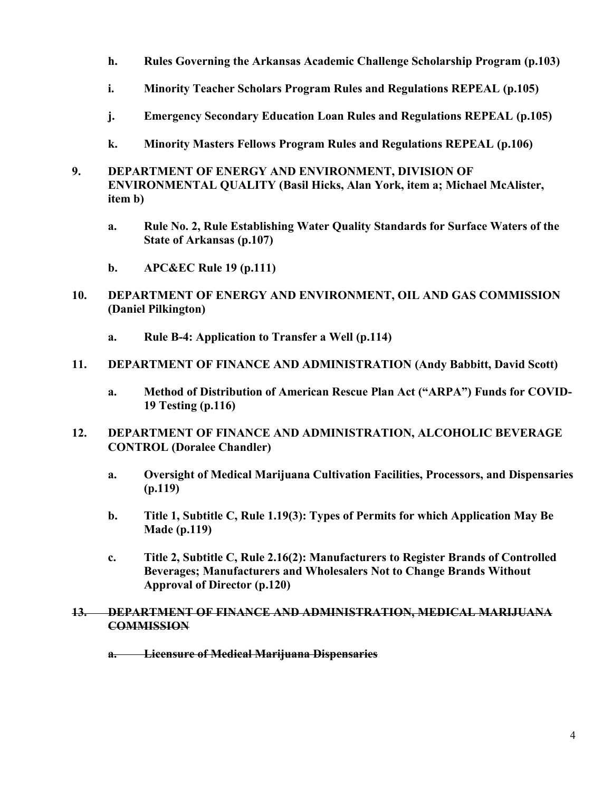- **h. Rules Governing the Arkansas Academic Challenge Scholarship Program (p.103)**
- **i. Minority Teacher Scholars Program Rules and Regulations REPEAL (p.105)**
- **j. Emergency Secondary Education Loan Rules and Regulations REPEAL (p.105)**
- **k. Minority Masters Fellows Program Rules and Regulations REPEAL (p.106)**
- **9. DEPARTMENT OF ENERGY AND ENVIRONMENT, DIVISION OF ENVIRONMENTAL QUALITY (Basil Hicks, Alan York, item a; Michael McAlister, item b)**
	- **a. Rule No. 2, Rule Establishing Water Quality Standards for Surface Waters of the State of Arkansas (p.107)**
	- **b. APC&EC Rule 19 (p.111)**
- **10. DEPARTMENT OF ENERGY AND ENVIRONMENT, OIL AND GAS COMMISSION (Daniel Pilkington)**
	- **a. Rule B-4: Application to Transfer a Well (p.114)**
- **11. DEPARTMENT OF FINANCE AND ADMINISTRATION (Andy Babbitt, David Scott)**
	- **a. Method of Distribution of American Rescue Plan Act ("ARPA") Funds for COVID-19 Testing (p.116)**
- **12. DEPARTMENT OF FINANCE AND ADMINISTRATION, ALCOHOLIC BEVERAGE CONTROL (Doralee Chandler)**
	- **a. Oversight of Medical Marijuana Cultivation Facilities, Processors, and Dispensaries (p.119)**
	- **b. Title 1, Subtitle C, Rule 1.19(3): Types of Permits for which Application May Be Made (p.119)**
	- **c. Title 2, Subtitle C, Rule 2.16(2): Manufacturers to Register Brands of Controlled Beverages; Manufacturers and Wholesalers Not to Change Brands Without Approval of Director (p.120)**

#### **13. DEPARTMENT OF FINANCE AND ADMINISTRATION, MEDICAL MARIJUANA COMMISSION**

**a. Licensure of Medical Marijuana Dispensaries**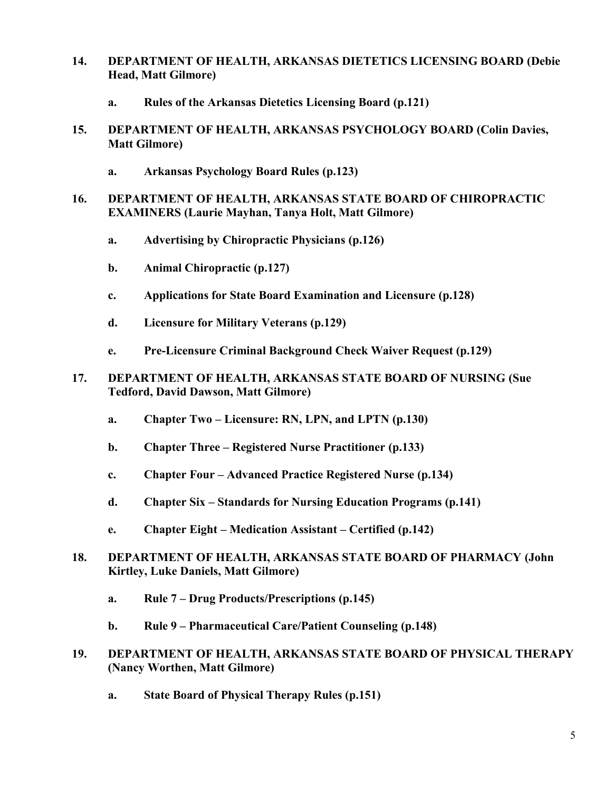- **14. DEPARTMENT OF HEALTH, ARKANSAS DIETETICS LICENSING BOARD (Debie Head, Matt Gilmore)**
	- **a. Rules of the Arkansas Dietetics Licensing Board (p.121)**
- **15. DEPARTMENT OF HEALTH, ARKANSAS PSYCHOLOGY BOARD (Colin Davies, Matt Gilmore)**
	- **a. Arkansas Psychology Board Rules (p.123)**
- **16. DEPARTMENT OF HEALTH, ARKANSAS STATE BOARD OF CHIROPRACTIC EXAMINERS (Laurie Mayhan, Tanya Holt, Matt Gilmore)**
	- **a. Advertising by Chiropractic Physicians (p.126)**
	- **b. Animal Chiropractic (p.127)**
	- **c. Applications for State Board Examination and Licensure (p.128)**
	- **d. Licensure for Military Veterans (p.129)**
	- **e. Pre-Licensure Criminal Background Check Waiver Request (p.129)**
- **17. DEPARTMENT OF HEALTH, ARKANSAS STATE BOARD OF NURSING (Sue Tedford, David Dawson, Matt Gilmore)**
	- **a. Chapter Two – Licensure: RN, LPN, and LPTN (p.130)**
	- **b. Chapter Three – Registered Nurse Practitioner (p.133)**
	- **c. Chapter Four – Advanced Practice Registered Nurse (p.134)**
	- **d. Chapter Six – Standards for Nursing Education Programs (p.141)**
	- **e. Chapter Eight – Medication Assistant – Certified (p.142)**
- **18. DEPARTMENT OF HEALTH, ARKANSAS STATE BOARD OF PHARMACY (John Kirtley, Luke Daniels, Matt Gilmore)**
	- **a. Rule 7 – Drug Products/Prescriptions (p.145)**
	- **b. Rule 9 – Pharmaceutical Care/Patient Counseling (p.148)**
- **19. DEPARTMENT OF HEALTH, ARKANSAS STATE BOARD OF PHYSICAL THERAPY (Nancy Worthen, Matt Gilmore)**
	- **a. State Board of Physical Therapy Rules (p.151)**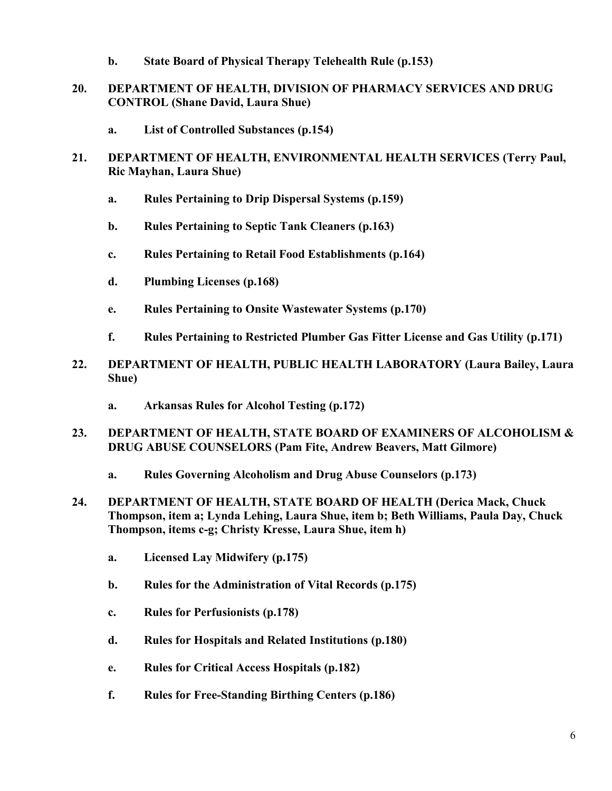- **b. State Board of Physical Therapy Telehealth Rule (p.153)**
- **20. DEPARTMENT OF HEALTH, DIVISION OF PHARMACY SERVICES AND DRUG CONTROL (Shane David, Laura Shue)**
	- **a. List of Controlled Substances (p.154)**
- **21. DEPARTMENT OF HEALTH, ENVIRONMENTAL HEALTH SERVICES (Terry Paul, Ric Mayhan, Laura Shue)**
	- **a. Rules Pertaining to Drip Dispersal Systems (p.159)**
	- **b. Rules Pertaining to Septic Tank Cleaners (p.163)**
	- **c. Rules Pertaining to Retail Food Establishments (p.164)**
	- **d. Plumbing Licenses (p.168)**
	- **e. Rules Pertaining to Onsite Wastewater Systems (p.170)**
	- **f. Rules Pertaining to Restricted Plumber Gas Fitter License and Gas Utility (p.171)**
- **22. DEPARTMENT OF HEALTH, PUBLIC HEALTH LABORATORY (Laura Bailey, Laura Shue)**
	- **a. Arkansas Rules for Alcohol Testing (p.172)**
- **23. DEPARTMENT OF HEALTH, STATE BOARD OF EXAMINERS OF ALCOHOLISM & DRUG ABUSE COUNSELORS (Pam Fite, Andrew Beavers, Matt Gilmore)**
	- **a. Rules Governing Alcoholism and Drug Abuse Counselors (p.173)**
- **24. DEPARTMENT OF HEALTH, STATE BOARD OF HEALTH (Derica Mack, Chuck Thompson, item a; Lynda Lehing, Laura Shue, item b; Beth Williams, Paula Day, Chuck Thompson, items c-g; Christy Kresse, Laura Shue, item h)**
	- **a. Licensed Lay Midwifery (p.175)**
	- **b. Rules for the Administration of Vital Records (p.175)**
	- **c. Rules for Perfusionists (p.178)**
	- **d. Rules for Hospitals and Related Institutions (p.180)**
	- **e. Rules for Critical Access Hospitals (p.182)**
	- **f. Rules for Free-Standing Birthing Centers (p.186)**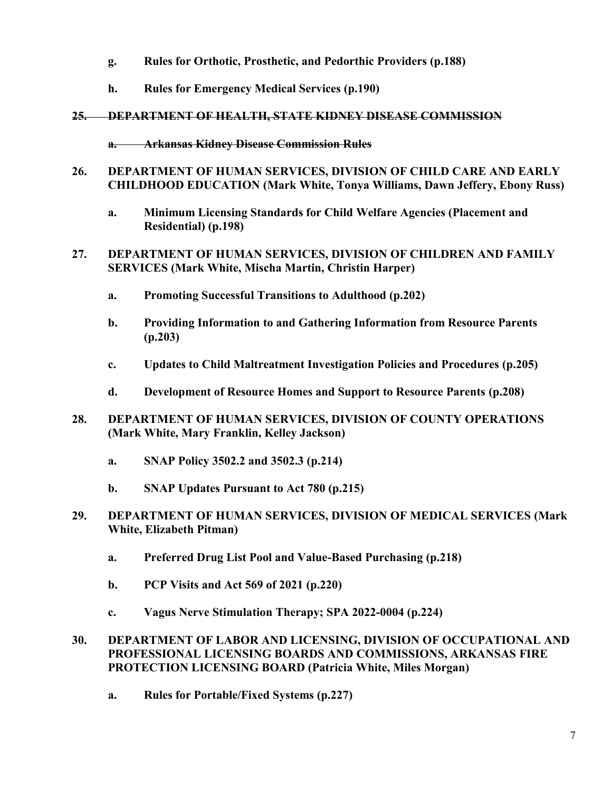- **g. Rules for Orthotic, Prosthetic, and Pedorthic Providers (p.188)**
- **h. Rules for Emergency Medical Services (p.190)**

# **25. DEPARTMENT OF HEALTH, STATE KIDNEY DISEASE COMMISSION**

- **a. Arkansas Kidney Disease Commission Rules**
- **26. DEPARTMENT OF HUMAN SERVICES, DIVISION OF CHILD CARE AND EARLY CHILDHOOD EDUCATION (Mark White, Tonya Williams, Dawn Jeffery, Ebony Russ)**
	- **a. Minimum Licensing Standards for Child Welfare Agencies (Placement and Residential) (p.198)**
- **27. DEPARTMENT OF HUMAN SERVICES, DIVISION OF CHILDREN AND FAMILY SERVICES (Mark White, Mischa Martin, Christin Harper)**
	- **a. Promoting Successful Transitions to Adulthood (p.202)**
	- **b. Providing Information to and Gathering Information from Resource Parents (p.203)**
	- **c. Updates to Child Maltreatment Investigation Policies and Procedures (p.205)**
	- **d. Development of Resource Homes and Support to Resource Parents (p.208)**
- **28. DEPARTMENT OF HUMAN SERVICES, DIVISION OF COUNTY OPERATIONS (Mark White, Mary Franklin, Kelley Jackson)**
	- **a. SNAP Policy 3502.2 and 3502.3 (p.214)**
	- **b. SNAP Updates Pursuant to Act 780 (p.215)**
- **29. DEPARTMENT OF HUMAN SERVICES, DIVISION OF MEDICAL SERVICES (Mark White, Elizabeth Pitman)**
	- **a. Preferred Drug List Pool and Value-Based Purchasing (p.218)**
	- **b. PCP Visits and Act 569 of 2021 (p.220)**
	- **c. Vagus Nerve Stimulation Therapy; SPA 2022-0004 (p.224)**
- **30. DEPARTMENT OF LABOR AND LICENSING, DIVISION OF OCCUPATIONAL AND PROFESSIONAL LICENSING BOARDS AND COMMISSIONS, ARKANSAS FIRE PROTECTION LICENSING BOARD (Patricia White, Miles Morgan)**
	- **a. Rules for Portable/Fixed Systems (p.227)**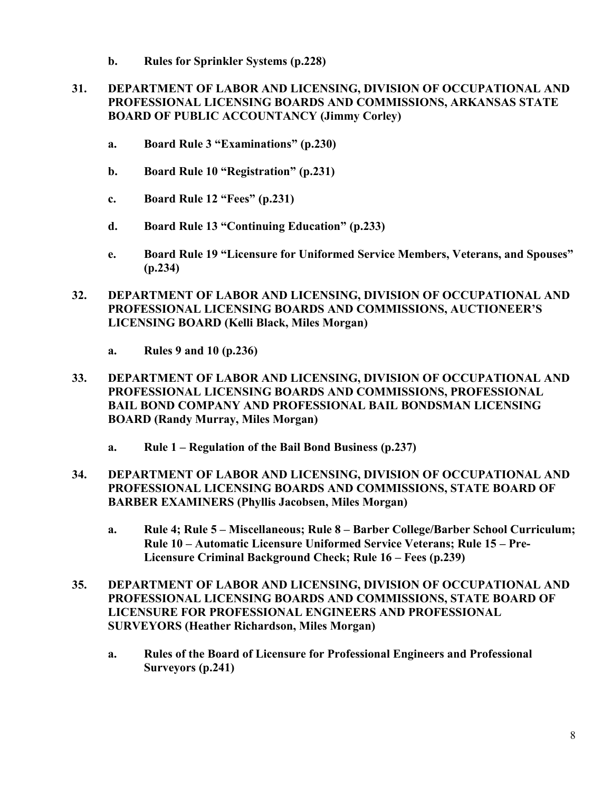**b. Rules for Sprinkler Systems (p.228)**

# **31. DEPARTMENT OF LABOR AND LICENSING, DIVISION OF OCCUPATIONAL AND PROFESSIONAL LICENSING BOARDS AND COMMISSIONS, ARKANSAS STATE BOARD OF PUBLIC ACCOUNTANCY (Jimmy Corley)**

- **a. Board Rule 3 "Examinations" (p.230)**
- **b. Board Rule 10 "Registration" (p.231)**
- **c. Board Rule 12 "Fees" (p.231)**
- **d. Board Rule 13 "Continuing Education" (p.233)**
- **e. Board Rule 19 "Licensure for Uniformed Service Members, Veterans, and Spouses" (p.234)**
- **32. DEPARTMENT OF LABOR AND LICENSING, DIVISION OF OCCUPATIONAL AND PROFESSIONAL LICENSING BOARDS AND COMMISSIONS, AUCTIONEER'S LICENSING BOARD (Kelli Black, Miles Morgan)**
	- **a. Rules 9 and 10 (p.236)**
- **33. DEPARTMENT OF LABOR AND LICENSING, DIVISION OF OCCUPATIONAL AND PROFESSIONAL LICENSING BOARDS AND COMMISSIONS, PROFESSIONAL BAIL BOND COMPANY AND PROFESSIONAL BAIL BONDSMAN LICENSING BOARD (Randy Murray, Miles Morgan)**
	- **a. Rule 1 – Regulation of the Bail Bond Business (p.237)**
- **34. DEPARTMENT OF LABOR AND LICENSING, DIVISION OF OCCUPATIONAL AND PROFESSIONAL LICENSING BOARDS AND COMMISSIONS, STATE BOARD OF BARBER EXAMINERS (Phyllis Jacobsen, Miles Morgan)**
	- **a. Rule 4; Rule 5 – Miscellaneous; Rule 8 – Barber College/Barber School Curriculum; Rule 10 – Automatic Licensure Uniformed Service Veterans; Rule 15 – Pre-Licensure Criminal Background Check; Rule 16 – Fees (p.239)**
- **35. DEPARTMENT OF LABOR AND LICENSING, DIVISION OF OCCUPATIONAL AND PROFESSIONAL LICENSING BOARDS AND COMMISSIONS, STATE BOARD OF LICENSURE FOR PROFESSIONAL ENGINEERS AND PROFESSIONAL SURVEYORS (Heather Richardson, Miles Morgan)**
	- **a. Rules of the Board of Licensure for Professional Engineers and Professional Surveyors (p.241)**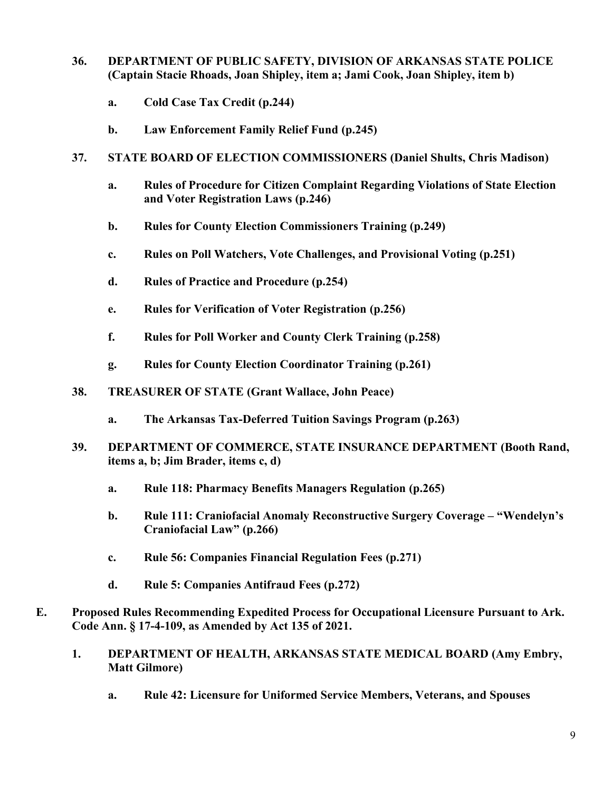## **36. DEPARTMENT OF PUBLIC SAFETY, DIVISION OF ARKANSAS STATE POLICE (Captain Stacie Rhoads, Joan Shipley, item a; Jami Cook, Joan Shipley, item b)**

- **a. Cold Case Tax Credit (p.244)**
- **b. Law Enforcement Family Relief Fund (p.245)**
- **37. STATE BOARD OF ELECTION COMMISSIONERS (Daniel Shults, Chris Madison)**
	- **a. Rules of Procedure for Citizen Complaint Regarding Violations of State Election and Voter Registration Laws (p.246)**
	- **b. Rules for County Election Commissioners Training (p.249)**
	- **c. Rules on Poll Watchers, Vote Challenges, and Provisional Voting (p.251)**
	- **d. Rules of Practice and Procedure (p.254)**
	- **e. Rules for Verification of Voter Registration (p.256)**
	- **f. Rules for Poll Worker and County Clerk Training (p.258)**
	- **g. Rules for County Election Coordinator Training (p.261)**
- **38. TREASURER OF STATE (Grant Wallace, John Peace)**
	- **a. The Arkansas Tax-Deferred Tuition Savings Program (p.263)**
- **39. DEPARTMENT OF COMMERCE, STATE INSURANCE DEPARTMENT (Booth Rand, items a, b; Jim Brader, items c, d)**
	- **a. Rule 118: Pharmacy Benefits Managers Regulation (p.265)**
	- **b. Rule 111: Craniofacial Anomaly Reconstructive Surgery Coverage – "Wendelyn's Craniofacial Law" (p.266)**
	- **c. Rule 56: Companies Financial Regulation Fees (p.271)**
	- **d. Rule 5: Companies Antifraud Fees (p.272)**
- **E. Proposed Rules Recommending Expedited Process for Occupational Licensure Pursuant to Ark. Code Ann. § 17-4-109, as Amended by Act 135 of 2021.**
	- **1. DEPARTMENT OF HEALTH, ARKANSAS STATE MEDICAL BOARD (Amy Embry, Matt Gilmore)**
		- **a. Rule 42: Licensure for Uniformed Service Members, Veterans, and Spouses**